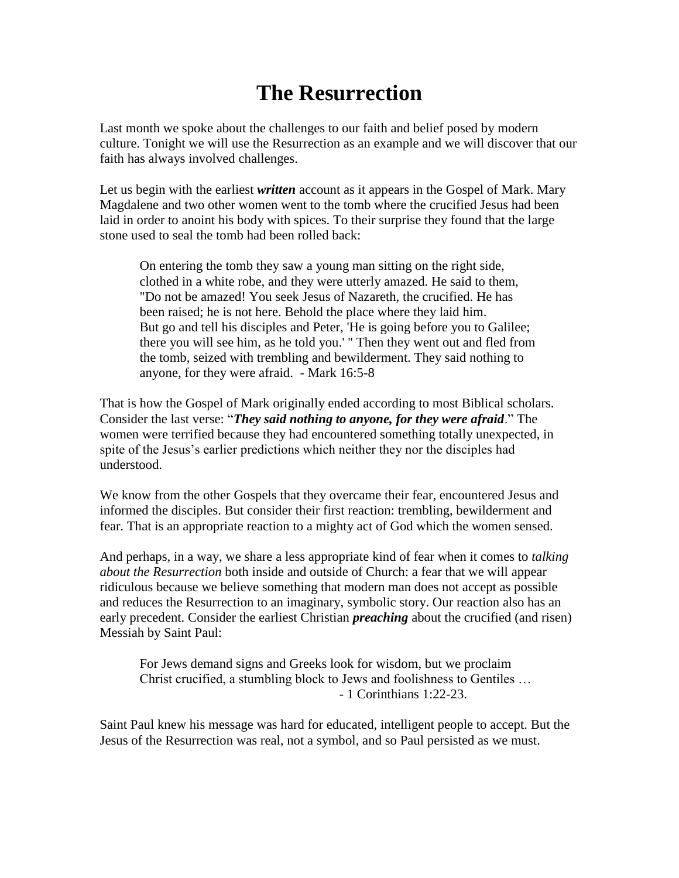## **The Resurrection**

Last month we spoke about the challenges to our faith and belief posed by modern culture. Tonight we will use the Resurrection as an example and we will discover that our faith has always involved challenges.

Let us begin with the earliest *written* account as it appears in the Gospel of Mark. Mary Magdalene and two other women went to the tomb where the crucified Jesus had been laid in order to anoint his body with spices. To their surprise they found that the large stone used to seal the tomb had been rolled back:

On entering the tomb they saw a young man sitting on the right side, clothed in a white robe, and they were utterly amazed. He said to them, "Do not be amazed! You seek Jesus of Nazareth, the crucified. He has been raised; he is not here. Behold the place where they laid him. But go and tell his disciples and Peter, 'He is going before you to Galilee; there you will see him, as he told you.' " Then they went out and fled from the tomb, seized with trembling and bewilderment. They said nothing to anyone, for they were afraid. - Mark 16:5-8

That is how the Gospel of Mark originally ended according to most Biblical scholars. Consider the last verse: "*They said nothing to anyone, for they were afraid*." The women were terrified because they had encountered something totally unexpected, in spite of the Jesus's earlier predictions which neither they nor the disciples had understood.

We know from the other Gospels that they overcame their fear, encountered Jesus and informed the disciples. But consider their first reaction: trembling, bewilderment and fear. That is an appropriate reaction to a mighty act of God which the women sensed.

And perhaps, in a way, we share a less appropriate kind of fear when it comes to *talking about the Resurrection* both inside and outside of Church: a fear that we will appear ridiculous because we believe something that modern man does not accept as possible and reduces the Resurrection to an imaginary, symbolic story. Our reaction also has an early precedent. Consider the earliest Christian *preaching* about the crucified (and risen) Messiah by Saint Paul:

For Jews demand signs and Greeks look for wisdom, but we proclaim Christ crucified, a stumbling block to Jews and foolishness to Gentiles … - 1 Corinthians 1:22-23.

Saint Paul knew his message was hard for educated, intelligent people to accept. But the Jesus of the Resurrection was real, not a symbol, and so Paul persisted as we must.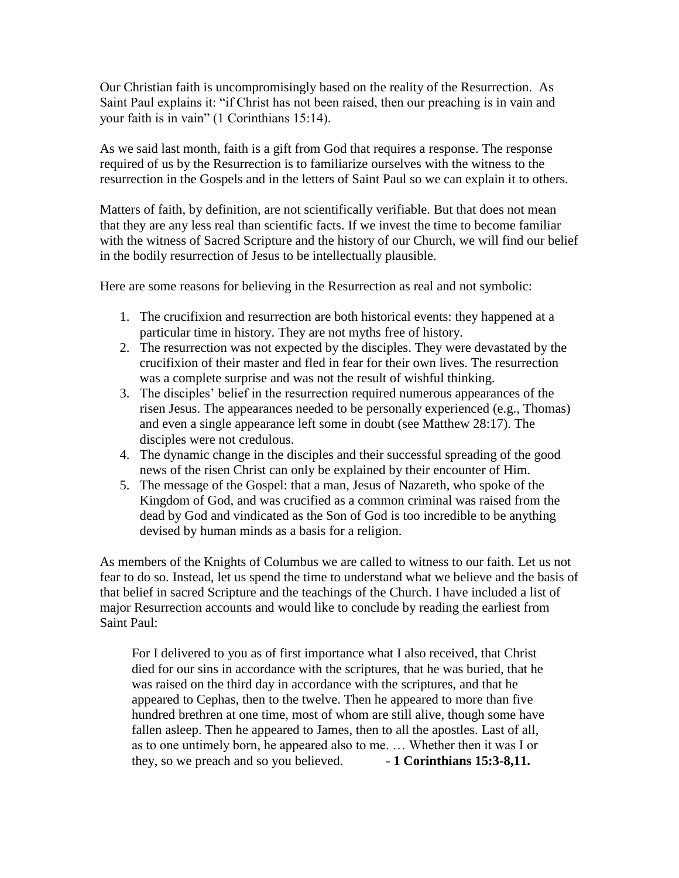Our Christian faith is uncompromisingly based on the reality of the Resurrection. As Saint Paul explains it: "if Christ has not been raised, then our preaching is in vain and your faith is in vain" (1 Corinthians 15:14).

As we said last month, faith is a gift from God that requires a response. The response required of us by the Resurrection is to familiarize ourselves with the witness to the resurrection in the Gospels and in the letters of Saint Paul so we can explain it to others.

Matters of faith, by definition, are not scientifically verifiable. But that does not mean that they are any less real than scientific facts. If we invest the time to become familiar with the witness of Sacred Scripture and the history of our Church, we will find our belief in the bodily resurrection of Jesus to be intellectually plausible.

Here are some reasons for believing in the Resurrection as real and not symbolic:

- 1. The crucifixion and resurrection are both historical events: they happened at a particular time in history. They are not myths free of history.
- 2. The resurrection was not expected by the disciples. They were devastated by the crucifixion of their master and fled in fear for their own lives. The resurrection was a complete surprise and was not the result of wishful thinking.
- 3. The disciples' belief in the resurrection required numerous appearances of the risen Jesus. The appearances needed to be personally experienced (e.g., Thomas) and even a single appearance left some in doubt (see Matthew 28:17). The disciples were not credulous.
- 4. The dynamic change in the disciples and their successful spreading of the good news of the risen Christ can only be explained by their encounter of Him.
- 5. The message of the Gospel: that a man, Jesus of Nazareth, who spoke of the Kingdom of God, and was crucified as a common criminal was raised from the dead by God and vindicated as the Son of God is too incredible to be anything devised by human minds as a basis for a religion.

As members of the Knights of Columbus we are called to witness to our faith. Let us not fear to do so. Instead, let us spend the time to understand what we believe and the basis of that belief in sacred Scripture and the teachings of the Church. I have included a list of major Resurrection accounts and would like to conclude by reading the earliest from Saint Paul:

For I delivered to you as of first importance what I also received, that Christ died for our sins in accordance with the scriptures, that he was buried, that he was raised on the third day in accordance with the scriptures, and that he appeared to Cephas, then to the twelve. Then he appeared to more than five hundred brethren at one time, most of whom are still alive, though some have fallen asleep. Then he appeared to James, then to all the apostles. Last of all, as to one untimely born, he appeared also to me. … Whether then it was I or they, so we preach and so you believed. - 1 Corinthians 15:3-8,11.